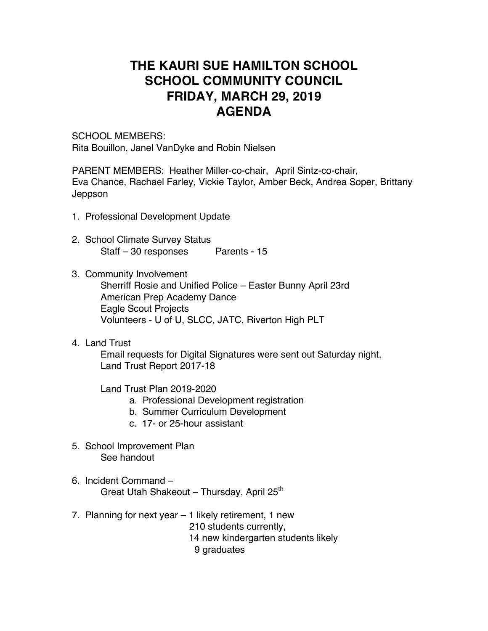## **THE KAURI SUE HAMILTON SCHOOL SCHOOL COMMUNITY COUNCIL FRIDAY, MARCH 29, 2019 AGENDA**

SCHOOL MEMBERS: Rita Bouillon, Janel VanDyke and Robin Nielsen

PARENT MEMBERS: Heather Miller-co-chair, April Sintz-co-chair, Eva Chance, Rachael Farley, Vickie Taylor, Amber Beck, Andrea Soper, Brittany Jeppson

- 1. Professional Development Update
- 2. School Climate Survey Status Staff – 30 responses Parents - 15
- 3. Community Involvement Sherriff Rosie and Unified Police – Easter Bunny April 23rd American Prep Academy Dance Eagle Scout Projects Volunteers - U of U, SLCC, JATC, Riverton High PLT
- 4. Land Trust

Email requests for Digital Signatures were sent out Saturday night. Land Trust Report 2017-18

Land Trust Plan 2019-2020

- a. Professional Development registration
- b. Summer Curriculum Development
- c. 17- or 25-hour assistant
- 5. School Improvement Plan See handout
- 6. Incident Command Great Utah Shakeout – Thursday, April 25<sup>th</sup>
- 7. Planning for next year 1 likely retirement, 1 new 210 students currently, 14 new kindergarten students likely 9 graduates